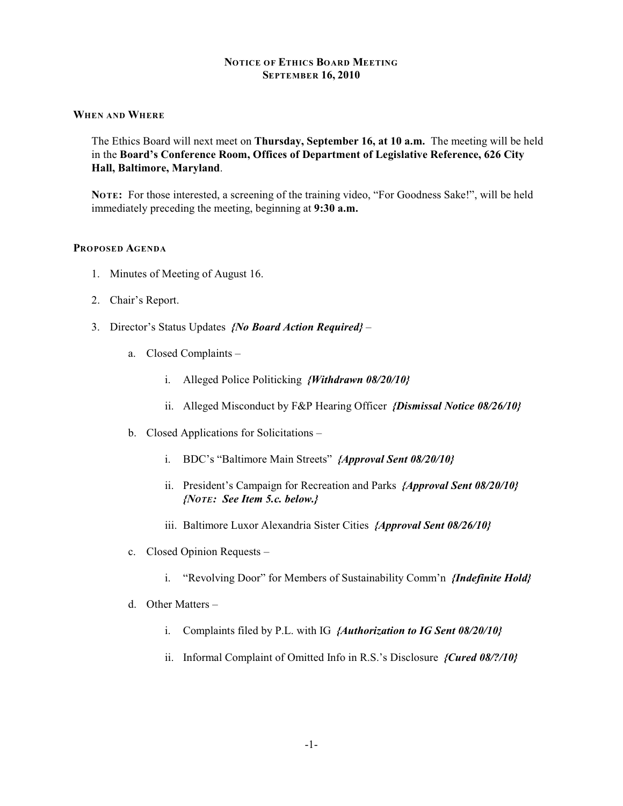## **NOTICE OF ETHICS BOARD MEETING SEPTEMBER 16, 2010**

### **WHEN AND WHERE**

The Ethics Board will next meet on **Thursday, September 16, at 10 a.m.** The meeting will be held in the **Board's Conference Room, Offices of Department of Legislative Reference, 626 City Hall, Baltimore, Maryland**.

**NOTE:** For those interested, a screening of the training video, "For Goodness Sake!", will be held immediately preceding the meeting, beginning at **9:30 a.m.**

#### **PROPOSED AGENDA**

- 1. Minutes of Meeting of August 16.
- 2. Chair's Report.
- 3. Director's Status Updates *{No Board Action Required}*
	- a. Closed Complaints
		- i. Alleged Police Politicking *{Withdrawn 08/20/10}*
		- ii. Alleged Misconduct by F&P Hearing Officer *{Dismissal Notice 08/26/10}*
	- b. Closed Applications for Solicitations
		- i. BDC's "Baltimore Main Streets" *{Approval Sent 08/20/10}*
		- ii. President's Campaign for Recreation and Parks *{Approval Sent 08/20/10} {NOTE: See Item 5.c. below.}*
		- iii. Baltimore Luxor Alexandria Sister Cities *{Approval Sent 08/26/10}*
	- c. Closed Opinion Requests
		- i. "Revolving Door" for Members of Sustainability Comm'n *{Indefinite Hold}*
	- d. Other Matters
		- i. Complaints filed by P.L. with IG *{Authorization to IG Sent 08/20/10}*
		- ii. Informal Complaint of Omitted Info in R.S.'s Disclosure *{Cured 08/?/10}*